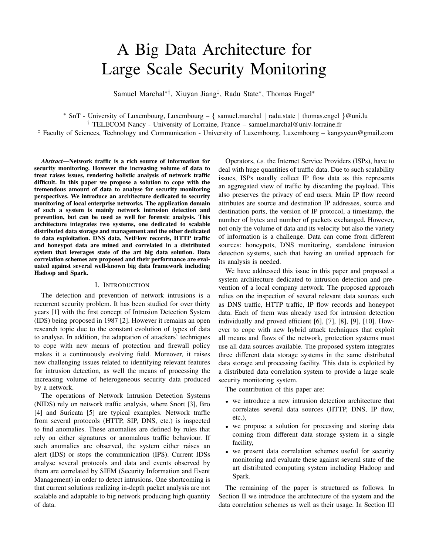# A Big Data Architecture for Large Scale Security Monitoring

Samuel Marchal∗†, Xiuyan Jiang‡ , Radu State<sup>∗</sup> , Thomas Engel<sup>∗</sup>

<sup>∗</sup> SnT - University of Luxembourg, Luxembourg – { samuel.marchal | radu.state | thomas.engel }@uni.lu

† TELECOM Nancy - University of Lorraine, France – samuel.marchal@univ-lorraine.fr

‡ Faculty of Sciences, Technology and Communication - University of Luxembourg, Luxembourg – kangsyeun@gmail.com

*Abstract*—Network traffic is a rich source of information for security monitoring. However the increasing volume of data to treat raises issues, rendering holistic analysis of network traffic difficult. In this paper we propose a solution to cope with the tremendous amount of data to analyse for security monitoring perspectives. We introduce an architecture dedicated to security monitoring of local enterprise networks. The application domain of such a system is mainly network intrusion detection and prevention, but can be used as well for forensic analysis. This architecture integrates two systems, one dedicated to scalable distributed data storage and management and the other dedicated to data exploitation. DNS data, NetFlow records, HTTP traffic and honeypot data are mined and correlated in a distributed system that leverages state of the art big data solution. Data correlation schemes are proposed and their performance are evaluated against several well-known big data framework including Hadoop and Spark.

# I. INTRODUCTION

The detection and prevention of network intrusions is a recurrent security problem. It has been studied for over thirty years [1] with the first concept of Intrusion Detection System (IDS) being proposed in 1987 [2]. However it remains an open research topic due to the constant evolution of types of data to analyse. In addition, the adaptation of attackers' techniques to cope with new means of protection and firewall policy makes it a continuously evolving field. Moreover, it raises new challenging issues related to identifying relevant features for intrusion detection, as well the means of processing the increasing volume of heterogeneous security data produced by a network.

The operations of Network Intrusion Detection Systems (NIDS) rely on network traffic analysis, where Snort [3], Bro [4] and Suricata [5] are typical examples. Network traffic from several protocols (HTTP, SIP, DNS, etc.) is inspected to find anomalies. These anomalies are defined by rules that rely on either signatures or anomalous traffic behaviour. If such anomalies are observed, the system either raises an alert (IDS) or stops the communication (IPS). Current IDSs analyse several protocols and data and events observed by them are correlated by SIEM (Security Information and Event Management) in order to detect intrusions. One shortcoming is that current solutions realizing in-depth packet analysis are not scalable and adaptable to big network producing high quantity of data.

Operators, *i.e.* the Internet Service Providers (ISPs), have to deal with huge quantities of traffic data. Due to such scalability issues, ISPs usually collect IP flow data as this represents an aggregated view of traffic by discarding the payload. This also preserves the privacy of end users. Main IP flow record attributes are source and destination IP addresses, source and destination ports, the version of IP protocol, a timestamp, the number of bytes and number of packets exchanged. However, not only the volume of data and its velocity but also the variety of information is a challenge. Data can come from different sources: honeypots, DNS monitoring, standalone intrusion detection systems, such that having an unified approach for its analysis is needed.

We have addressed this issue in this paper and proposed a system architecture dedicated to intrusion detection and prevention of a local company network. The proposed approach relies on the inspection of several relevant data sources such as DNS traffic, HTTP traffic, IP flow records and honeypot data. Each of them was already used for intrusion detection individually and proved efficient [6], [7], [8], [9], [10]. However to cope with new hybrid attack techniques that exploit all means and flaws of the network, protection systems must use all data sources available. The proposed system integrates three different data storage systems in the same distributed data storage and processing facility. This data is exploited by a distributed data correlation system to provide a large scale security monitoring system.

The contribution of this paper are:

- we introduce a new intrusion detection architecture that correlates several data sources (HTTP, DNS, IP flow, etc.),
- we propose a solution for processing and storing data coming from different data storage system in a single facility,
- we present data correlation schemes useful for security monitoring and evaluate these against several state of the art distributed computing system including Hadoop and Spark.

The remaining of the paper is structured as follows. In Section II we introduce the architecture of the system and the data correlation schemes as well as their usage. In Section III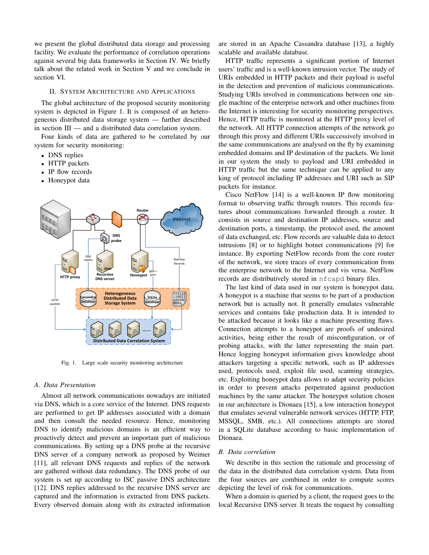we present the global distributed data storage and processing facility. We evaluate the performance of correlation operations against several big data frameworks in Section IV. We briefly talk about the related work in Section V and we conclude in section VI.

#### II. SYSTEM ARCHITECTURE AND APPLICATIONS

The global architecture of the proposed security monitoring system is depicted in Figure 1. It is composed of an heterogeneous distributed data storage system — further described in section III — and a distributed data correlation system.

Four kinds of data are gathered to be correlated by our system for security monitoring:

- DNS replies
- HTTP packets
- IP flow records
- Honeypot data



Fig. 1. Large scale security monitoring architecture

### *A. Data Presentation*

Almost all network communications nowadays are initiated via DNS, which is a core service of the Internet. DNS requests are performed to get IP addresses associated with a domain and then consult the needed resource. Hence, monitoring DNS to identify malicious domains is an efficient way to proactively detect and prevent an important part of malicious communications. By setting up a DNS probe at the recursive DNS server of a company network as proposed by Weimer [11], all relevant DNS requests and replies of the network are gathered without data redundancy. The DNS probe of our system is set up according to ISC passive DNS architecture [12]. DNS replies addressed to the recursive DNS server are captured and the information is extracted from DNS packets. Every observed domain along with its extracted information are stored in an Apache Cassandra database [13], a highly scalable and available database.

HTTP traffic represents a significant portion of Internet users' traffic and is a well-known intrusion vector. The study of URIs embedded in HTTP packets and their payload is useful in the detection and prevention of malicious communications. Studying URIs involved in communications between one single machine of the enterprise network and other machines from the Internet is interesting for security monitoring perspectives. Hence, HTTP traffic is monitored at the HTTP proxy level of the network. All HTTP connection attempts of the network go through this proxy and different URIs successively involved in the same communications are analysed on the fly by examining embedded domains and IP destination of the packets. We limit in our system the study to payload and URI embedded in HTTP traffic but the same technique can be applied to any king of protocol including IP addresses and URI such as SIP packets for instance.

Cisco NetFlow [14] is a well-known IP flow monitoring format to observing traffic through routers. This records features about communications forwarded through a router. It consists in source and destination IP addresses, source and destination ports, a timestamp, the protocol used, the amount of data exchanged, etc. Flow records are valuable data to detect intrusions [8] or to highlight botnet communications [9] for instance. By exporting NetFlow records from the core router of the network, we store traces of every communication from the enterprise network to the Internet and vis versa. NetFlow records are distributively stored in nfcapd binary files.

The last kind of data used in our system is honeypot data. A honeypot is a machine that seems to be part of a production network but is actually not. It generally emulates vulnerable services and contains fake production data. It is intended to be attacked because it looks like a machine presenting flaws. Connection attempts to a honeypot are proofs of undesired activities, being either the result of misconfiguration, or of probing attacks, with the latter representing the main part. Hence logging honeypot information gives knowledge about attackers targeting a specific network, such as IP addresses used, protocols used, exploit file used, scanning strategies, etc. Exploiting honeypot data allows to adapt security policies in order to prevent attacks perpetrated against production machines by the same attacker. The honeypot solution chosen in our architecture is Dionaea [15], a low interaction honeypot that emulates several vulnerable network services (HTTP, FTP, MSSQL, SMB, etc.). All connections attempts are stored in a SQLite database according to basic implementation of Dionaea.

## *B. Data correlation*

We describe in this section the rationale and processing of the data in the distributed data correlation system. Data from the four sources are combined in order to compute scores depicting the level of risk for communications.

When a domain is queried by a client, the request goes to the local Recursive DNS server. It treats the request by consulting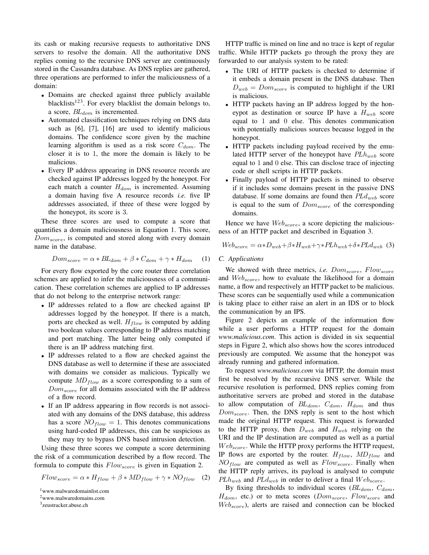its cash or making recursive requests to authoritative DNS servers to resolve the domain. All the authoritative DNS replies coming to the recursive DNS server are continuously stored in the Cassandra database. As DNS replies are gathered, three operations are performed to infer the maliciousness of a domain:

- Domains are checked against three publicly available blacklists $123$ . For every blacklist the domain belongs to, a score,  $BL_{dom}$  is incremented.
- Automated classification techniques relying on DNS data such as [6], [7], [16] are used to identify malicious domains. The confidence score given by the machine learning algorithm is used as a risk score  $C_{dom}$ . The closer it is to 1, the more the domain is likely to be malicious.
- Every IP address appearing in DNS resource records are checked against IP addresses logged by the honeypot. For each match a counter  $H_{dom}$  is incremented. Assuming a domain having five A resource records *i.e.* five IP addresses associated, if three of these were logged by the honeypot, its score is 3.

These three scores are used to compute a score that quantifies a domain maliciousness in Equation 1. This score,  $Dom_{score}$ , is computed and stored along with every domain name in the database.

$$
Dom_{score} = \alpha * BL_{dom} + \beta * C_{dom} + \gamma * H_{dom} \quad (1)
$$

For every flow exported by the core router three correlation schemes are applied to infer the maliciousness of a communication. These correlation schemes are applied to IP addresses that do not belong to the enterprise network range:

- IP addresses related to a flow are checked against IP addresses logged by the honeypot. If there is a match, ports are checked as well.  $H_{flow}$  is computed by adding two boolean values corresponding to IP address matching and port matching. The latter being only computed if there is an IP address matching first.
- IP addresses related to a flow are checked against the DNS database as well to determine if these are associated with domains we consider as malicious. Typically we compute  $MD_{flow}$  as a score corresponding to a sum of  $Dom_{score}$  for all domains associated with the IP address of a flow record.
- If an IP address appearing in flow records is not associated with any domains of the DNS database, this address has a score  $NO_{flow} = 1$ . This denotes communications using hard-coded IP addresses, this can be suspicious as they may try to bypass DNS based intrusion detection.

Using these three scores we compute a score determining the risk of a communication described by a flow record. The formula to compute this  $Flow_{score}$  is given in Equation 2.

$$
Flow_{score} = \alpha * H_{flow} + \beta * MD_{flow} + \gamma * NO_{flow} \quad (2)
$$

HTTP traffic is mined on line and no trace is kept of regular traffic. While HTTP packets go through the proxy they are forwarded to our analysis system to be rated:

- The URI of HTTP packets is checked to determine if it embeds a domain present in the DNS database. Then  $D_{web} = Dom_{score}$  is computed to highlight if the URI is malicious.
- HTTP packets having an IP address logged by the honeypot as destination or source IP have a  $H_{web}$  score equal to 1 and 0 else. This denotes communication with potentially malicious sources because logged in the honeypot.
- HTTP packets including payload received by the emulated HTTP server of the honeypot have  $PLh_{web}$  score equal to 1 and 0 else. This can disclose trace of injecting code or shell scripts in HTTP packets.
- Finally payload of HTTP packets is mined to observe if it includes some domains present in the passive DNS database. If some domains are found then  $PLd_{web}$  score is equal to the sum of  $Dom_{score}$  of the corresponding domains.

Hence we have  $Web_{score}$ , a score depicting the maliciousness of an HTTP packet and described in Equation 3.

$$
Web_{score} = \alpha * D_{web} + \beta * H_{web} + \gamma * PLh_{web} + \delta * PLd_{web} \quad (3)
$$

# *C. Applications*

We showed with three metrics, *i.e.* Dom<sub>score</sub>, Flow<sub>score</sub> and  $Web_{score}$ , how to evaluate the likelihood for a domain name, a flow and respectively an HTTP packet to be malicious. These scores can be sequentially used while a communication is taking place to either raise an alert in an IDS or to block the communication by an IPS.

Figure 2 depicts an example of the information flow while a user performs a HTTP request for the domain *www.malicious.com*. This action is divided in six sequential steps in Figure 2, which also shows how the scores introduced previously are computed. We assume that the honeypot was already running and gathered information.

To request *www.malicious.com* via HTTP, the domain must first be resolved by the recursive DNS server. While the recursive resolution is performed, DNS replies coming from authoritative servers are probed and stored in the database to allow computation of  $BL_{dom}$ ,  $C_{dom}$ ,  $H_{dom}$  and thus  $Dom_{score}$ . Then, the DNS reply is sent to the host which made the original HTTP request. This request is forwarded to the HTTP proxy, then  $D_{web}$  and  $H_{web}$  relying on the URI and the IP destination are computed as well as a partial  $Web_{score}$ . While the HTTP proxy performs the HTTP request, IP flows are exported by the router.  $H_{flow}$ ,  $MD_{flow}$  and  $NO_{flow}$  are computed as well as  $Flow_{score}$ . Finally when the HTTP reply arrives, its payload is analysed to compute  $PLh_{web}$  and  $PLd_{web}$  in order to deliver a final  $Web_{score}$ .

By fixing thresholds to individual scores ( $BL_{dom}$ ,  $C_{dom}$ ,  $H_{dom}$ , etc.) or to meta scores ( $Dom_{score}$ ,  $Flow_{score}$  and  $Web_{score}$ ), alerts are raised and connection can be blocked

<sup>1</sup>www.malwaredomainlist.com

<sup>2</sup>www.malwaredomains.com

<sup>3</sup> zeustracker.abuse.ch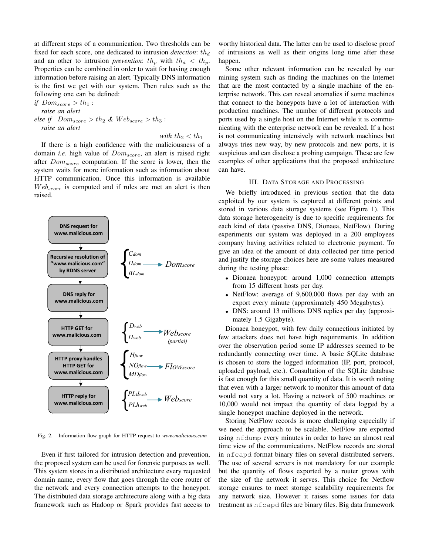at different steps of a communication. Two thresholds can be fixed for each score, one dedicated to intrusion *detection*:  $th_d$ and an other to intrusion *prevention*:  $th_p$  with  $th_d < th_p$ . Properties can be combined in order to wait for having enough information before raising an alert. Typically DNS information is the first we get with our system. Then rules such as the following one can be defined:

*if*  $Dom_{score} > th_1$ : *raise an alert else if*  $Dom_{score} > th_2 \& Web_{score} > th_3$ : *raise an alert*

with 
$$
th_2 < th_1
$$

If there is a high confidence with the maliciousness of a domain *i.e.* high value of  $Dom_{score}$ , an alert is raised right after  $Dom_{score}$  computation. If the score is lower, then the system waits for more information such as information about HTTP communication. Once this information is available  $Web_{score}$  is computed and if rules are met an alert is then raised.



Fig. 2. Information flow graph for HTTP request to *www.malicious.com*

Even if first tailored for intrusion detection and prevention, the proposed system can be used for forensic purposes as well. This system stores in a distributed architecture every requested domain name, every flow that goes through the core router of the network and every connection attempts to the honeypot. The distributed data storage architecture along with a big data framework such as Hadoop or Spark provides fast access to

worthy historical data. The latter can be used to disclose proof of intrusions as well as their origins long time after these happen.

Some other relevant information can be revealed by our mining system such as finding the machines on the Internet that are the most contacted by a single machine of the enterprise network. This can reveal anomalies if some machines that connect to the honeypots have a lot of interaction with production machines. The number of different protocols and ports used by a single host on the Internet while it is communicating with the enterprise network can be revealed. If a host is not communicating intensively with network machines but always tries new way, by new protocols and new ports, it is suspicious and can disclose a probing campaign. These are few examples of other applications that the proposed architecture can have.

#### III. DATA STORAGE AND PROCESSING

We briefly introduced in previous section that the data exploited by our system is captured at different points and stored in various data storage systems (see Figure 1). This data storage heterogeneity is due to specific requirements for each kind of data (passive DNS, Dionaea, NetFlow). During experiments our system was deployed in a 200 employees company having activities related to electronic payment. To give an idea of the amount of data collected per time period and justify the storage choices here are some values measured during the testing phase:

- Dionaea honeypot: around 1,000 connection attempts from 15 different hosts per day.
- NetFlow: average of 9,600,000 flows per day with an export every minute (approximately 450 Megabytes).
- DNS: around 13 millions DNS replies per day (approximately 1.5 Gigabyte).

Dionaea honeypot, with few daily connections initiated by few attackers does not have high requirements. In addition over the observation period some IP addresses seemed to be redundantly connecting over time. A basic SQLite database is chosen to store the logged information (IP, port, protocol, uploaded payload, etc.). Consultation of the SQLite database is fast enough for this small quantity of data. It is worth noting that even with a larger network to monitor this amount of data would not vary a lot. Having a network of 500 machines or 10,000 would not impact the quantity of data logged by a single honeypot machine deployed in the network.

Storing NetFlow records is more challenging especially if we need the approach to be scalable. NetFlow are exported using nfdump every minutes in order to have an almost real time view of the communications. NetFlow records are stored in nfcapd format binary files on several distributed servers. The use of several servers is not mandatory for our example but the quantity of flows exported by a router grows with the size of the network it serves. This choice for Netflow storage ensures to meet storage scalability requirements for any network size. However it raises some issues for data treatment as nfcapd files are binary files. Big data framework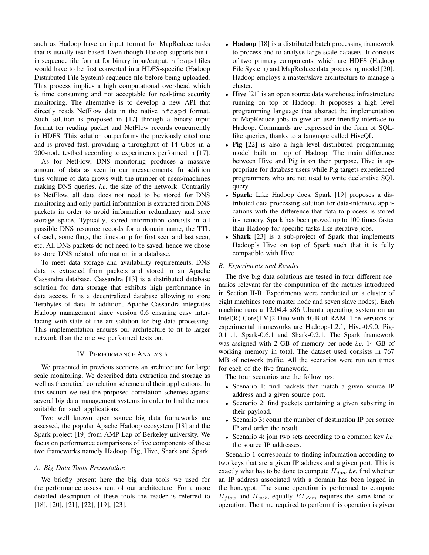such as Hadoop have an input format for MapReduce tasks that is usually text based. Even though Hadoop supports builtin sequence file format for binary input/output, nfcapd files would have to be first converted in a HDFS-specific (Hadoop Distributed File System) sequence file before being uploaded. This process implies a high computational over-head which is time consuming and not acceptable for real-time security monitoring. The alternative is to develop a new API that directly reads NetFlow data in the native nfcapd format. Such solution is proposed in [17] through a binary input format for reading packet and NetFlow records concurrently in HDFS. This solution outperforms the previously cited one and is proved fast, providing a throughput of 14 Gbps in a 200-node testbed according to experiments performed in [17].

As for NetFlow, DNS monitoring produces a massive amount of data as seen in our measurements. In addition this volume of data grows with the number of users/machines making DNS queries, *i.e.* the size of the network. Contrarily to NetFlow, all data does not need to be stored for DNS monitoring and only partial information is extracted from DNS packets in order to avoid information redundancy and save storage space. Typically, stored information consists in all possible DNS resource records for a domain name, the TTL of each, some flags, the timestamp for first seen and last seen, etc. All DNS packets do not need to be saved, hence we chose to store DNS related information in a database.

To meet data storage and availability requirements, DNS data is extracted from packets and stored in an Apache Cassandra database. Cassandra [13] is a distributed database solution for data storage that exhibits high performance in data access. It is a decentralized database allowing to store Terabytes of data. In addition, Apache Cassandra integrates Hadoop management since version 0.6 ensuring easy interfacing with state of the art solution for big data processing. This implementation ensures our architecture to fit to larger network than the one we performed tests on.

## IV. PERFORMANCE ANALYSIS

We presented in previous sections an architecture for large scale monitoring. We described data extraction and storage as well as theoretical correlation scheme and their applications. In this section we test the proposed correlation schemes against several big data management systems in order to find the most suitable for such applications.

Two well known open source big data frameworks are assessed, the popular Apache Hadoop ecosystem [18] and the Spark project [19] from AMP Lap of Berkeley university. We focus on performance comparisons of five components of these two frameworks namely Hadoop, Pig, Hive, Shark and Spark.

# *A. Big Data Tools Presentation*

We briefly present here the big data tools we used for the performance assessment of our architecture. For a more detailed description of these tools the reader is referred to [18], [20], [21], [22], [19], [23].

- **Hadoop** [18] is a distributed batch processing framework to process and to analyse large scale datasets. It consists of two primary components, which are HDFS (Hadoop File System) and MapReduce data processing model [20]. Hadoop employs a master/slave architecture to manage a cluster.
- Hive [21] is an open source data warehouse infrastructure running on top of Hadoop. It proposes a high level programming language that abstract the implementation of MapReduce jobs to give an user-friendly interface to Hadoop. Commands are expressed in the form of SQLlike queries, thanks to a language called HiveQL.
- Pig [22] is also a high level distributed programming model built on top of Hadoop. The main difference between Hive and Pig is on their purpose. Hive is appropriate for database users while Pig targets experienced programmers who are not used to write declarative SQL query.
- Spark: Like Hadoop does, Spark [19] proposes a distributed data processing solution for data-intensive applications with the difference that data to process is stored in-memory. Spark has been proved up to 100 times faster than Hadoop for specific tasks like iterative jobs.
- Shark [23] is a sub-project of Spark that implements Hadoop's Hive on top of Spark such that it is fully compatible with Hive.

# *B. Experiments and Results*

The five big data solutions are tested in four different scenarios relevant for the computation of the metrics introduced in Section II-B. Experiments were conducted on a cluster of eight machines (one master node and seven slave nodes). Each machine runs a 12.04.4 x86 Ubuntu operating system on an Intel $(R)$  Core $(TM)$ <sup>2</sup> Duo with 4GB of RAM. The versions of experimental frameworks are Hadoop-1.2.1, Hive-0.9.0, Pig-0.11.1, Spark-0.6.1 and Shark-0.2.1. The Spark framework was assigned with 2 GB of memory per node *i.e.* 14 GB of working memory in total. The dataset used consists in 767 MB of network traffic. All the scenarios were run ten times for each of the five framework.

The four scenarios are the followings:

- Scenario 1: find packets that match a given source IP address and a given source port.
- Scenario 2: find packets containing a given substring in their payload.
- Scenario 3: count the number of destination IP per source IP and order the result.
- Scenario 4: join two sets according to a common key *i.e.* the source IP addresses.

Scenario 1 corresponds to finding information according to two keys that are a given IP address and a given port. This is exactly what has to be done to compute  $H_{dom}$  *i.e.* find whether an IP address associated with a domain has been logged in the honeypot. The same operation is performed to compute  $H_{flow}$  and  $H_{web}$ , equally  $BL_{dom}$  requires the same kind of operation. The time required to perform this operation is given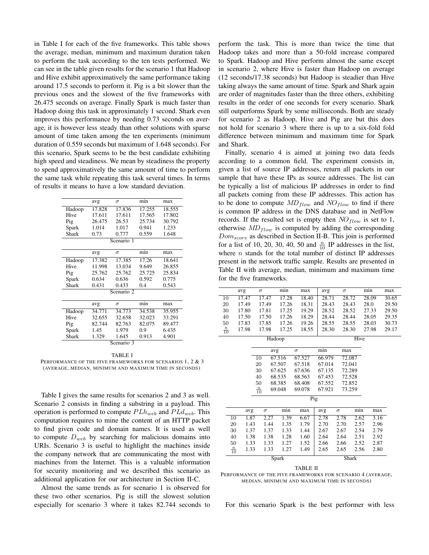in Table I for each of the five frameworks. This table shows the average, median, minimum and maximum duration taken to perform the task according to the ten tests performed. We can see in the table given results for the scenario 1 that Hadoop and Hive exhibit approximatively the same performance taking around 17.5 seconds to perform it. Pig is a bit slower than the previous ones and the slowest of the five frameworks with 26.475 seconds on average. Finally Spark is much faster than Hadoop doing this task in approximately 1 second. Shark even improves this performance by needing 0.73 seconds on average, it is however less steady than other solutions with sparse amount of time taken among the ten experiments (minimum duration of 0.559 seconds but maximum of 1.648 seconds). For this scenario, Spark seems to be the best candidate exhibiting high speed and steadiness. We mean by steadiness the property to spend approximatively the same amount of time to perform the same task while repeating this task several times. In terms of results it means to have a low standard deviation.

|            | avg    | $\sigma$ | min    | max    |  |  |
|------------|--------|----------|--------|--------|--|--|
| Hadoop     | 17.828 | 17.836   | 17.255 | 18.555 |  |  |
| Hive       | 17.611 | 17.611   | 17.565 | 17.802 |  |  |
| Pig        | 26.475 | 26.53    | 25.734 | 30.792 |  |  |
| Spark      | 1.014  | 1.017    | 0.941  | 1.233  |  |  |
| Shark      | 0.73   | 0.777    | 0.559  | 1.648  |  |  |
| Scenario 1 |        |          |        |        |  |  |
|            |        |          |        |        |  |  |
|            | avg    | $\sigma$ | min    | max    |  |  |
| Hadoop     | 17.382 | 17.385   | 17.26  | 18.641 |  |  |
| Hive       | 11.998 | 13.034   | 9.649  | 26.855 |  |  |
| Pig        | 25.762 | 25.762   | 25.725 | 25.834 |  |  |
| Spark      | 0.634  | 0.636    | 0.592  | 0.775  |  |  |
| Shark      | 0.431  | 0.433    | 0.4    | 0.543  |  |  |
| Scenario 2 |        |          |        |        |  |  |
|            |        |          |        |        |  |  |
|            | avg    | $\sigma$ | min    | max    |  |  |
| Hadoop     | 34.771 | 34.773   | 34.538 | 35.955 |  |  |
| Hive       | 32.655 | 32.658   | 32.023 | 33.291 |  |  |
| Pig        | 82.744 | 82.763   | 82.075 | 89.477 |  |  |
| Spark      | 1.45   | 1.979    | 0.9    | 6.435  |  |  |
| Shark      | 1.329  | 1.645    | 0.913  | 4.901  |  |  |
| Scenario 3 |        |          |        |        |  |  |

TABLE I PERFORMANCE OF THE FIVE FRAMEWORKS FOR SCENARIOS  $1, 2, 8, 3$ (AVERAGE, MEDIAN, MINIMUM AND MAXIMUM TIME IN SECONDS)

Table I gives the same results for scenarios 2 and 3 as well. Scenario 2 consists in finding a substring in a payload. This operation is performed to compute  $PLh_{web}$  and  $PLd_{web}$ . This computation requires to mine the content of an HTTP packet to find given code and domain names. It is used as well to compute  $D_{web}$  by searching for malicious domains into URIs. Scenario 3 is useful to highlight the machines inside the company network that are communicating the most with machines from the Internet. This is a valuable information for security monitoring and we described this scenario as additional application for our architecture in Section II-C.

Almost the same trends as for scenario 1 is observed for these two other scenarios. Pig is still the slowest solution especially for scenario 3 where it takes 82.744 seconds to

perform the task. This is more than twice the time that Hadoop takes and more than a 50-fold increase compared to Spark. Hadoop and Hive perform almost the same except in scenario 2, where Hive is faster than Hadoop on average (12 seconds/17.38 seconds) but Hadoop is steadier than Hive taking always the same amount of time. Spark and Shark again are order of magnitudes faster than the three others, exhibiting results in the order of one seconds for every scenario. Shark still outperforms Spark by some milliseconds. Both are steady for scenario 2 as Hadoop, Hive and Pig are but this does not hold for scenario 3 where there is up to a six-fold fold difference between minimum and maximum time for Spark and Shark.

Finally, scenario 4 is aimed at joining two data feeds according to a common field. The experiment consists in, given a list of source IP addresses, return all packets in our sample that have these IPs as source addresses. The list can be typically a list of malicious IP addresses in order to find all packets coming from these IP addresses. This action has to be done to compute  $MD_{flow}$  and  $NO_{flow}$  to find if there is common IP address in the DNS database and in NetFlow records. If the resulted set is empty then  $NO_{flow}$  is set to 1, otherwise  $MD_{flow}$  is computed by adding the corresponding  $Dom_{score}$  as described in Section II-B. This join is performed for a list of 10, 20, 30, 40, 50 and  $\frac{n}{10}$  IP addresses in the list, where  $n$  stands for the total number of distinct IP addresses present in the network traffic sample. Results are presented in Table II with average, median, minimum and maximum time for the five frameworks.

|                | avg   | $\sigma$ | mın   | max   | avg   | $\sigma$ | min   | max   |
|----------------|-------|----------|-------|-------|-------|----------|-------|-------|
| 10             | 17.47 | 17.47    | 17.28 | 18.40 | 28.71 | 28.72    | 28.09 | 30.65 |
| 20             | 17.49 | 17.49    | 17.26 | 18.31 | 28.43 | 28.43    | 28.0  | 29.50 |
| 30             | 17.80 | 17.81    | 17.25 | 19.29 | 28.52 | 28.52    | 27.33 | 29.50 |
| 40             | 17.50 | 17.50    | 17.26 | 18.29 | 28.44 | 28.44    | 28.05 | 29.35 |
| 50             | 17.83 | 17.85    | 17.26 | 19.26 | 28.55 | 28.55    | 28.03 | 30.73 |
| $\frac{n}{10}$ | 17.98 | 17.98    | 17.25 | 18.55 | 28.30 | 28.30    | 27.98 | 29.17 |

|                | Hadoop         |          |        |          |        |          | Hive |      |
|----------------|----------------|----------|--------|----------|--------|----------|------|------|
|                |                | avg      |        | $\sigma$ | min    | max      |      |      |
|                | 10             |          | 67.516 | 67.527   | 66.979 | 72.087   |      |      |
|                | 20             |          | 67.507 | 67.518   | 67.014 | 72.041   |      |      |
|                | 30             |          | 67.625 | 67.636   | 67.135 | 72.289   |      |      |
|                | 40             |          | 68.535 | 68.563   | 67.453 | 72.528   |      |      |
|                | 50             |          | 68.385 | 68.408   | 67.552 | 72.852   |      |      |
|                | $\frac{n}{10}$ |          | 69.048 | 69.078   | 67.921 | 73.259   |      |      |
|                |                |          |        |          | Pig    |          |      |      |
|                |                |          |        |          |        |          |      |      |
|                | avg            | $\sigma$ | min    | max      | avg    | $\sigma$ | min  | max  |
| 10             | 1.87           | 2.27     | 1.39   | 6.67     | 2.78   | 2.78     | 2.62 | 3.16 |
| 20             | 1.43           | 1.44     | 1.35   | 1.79     | 2.70   | 2.70     | 2.57 | 2.96 |
| 30             | 1.37           | 1.37     | 1.33   | 1.44     | 2.67   | 2.67     | 2.54 | 2.79 |
| 40             | 1.38           | 1.38     | 1.28   | 1.60     | 2.64   | 2.64     | 2.51 | 2.92 |
| 50             | 1.33           | 1.33     | 1.27   | 1.52     | 2.66   | 2.66     | 2.52 | 2.87 |
| $\frac{n}{10}$ | 1.33           | 1.33     | 1.27   | 1.49     | 2.65   | 2.65     | 2.56 | 2.80 |
| Spark          |                |          |        |          |        | Shark    |      |      |

TABLE II

PERFORMANCE OF THE FIVE FRAMEWORKS FOR SCENARIO 4 (AVERAGE, MEDIAN, MINIMUM AND MAXIMUM TIME IN SECONDS)

For this scenario Spark is the best performer with less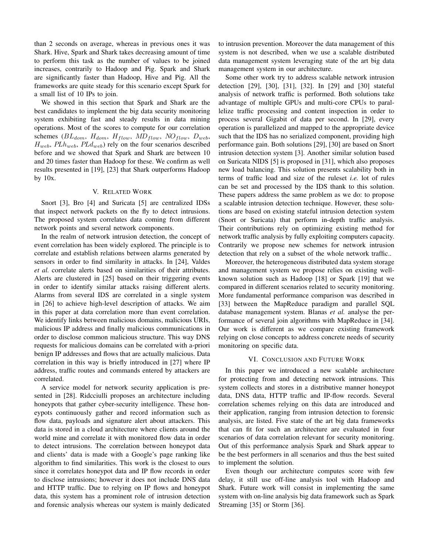than 2 seconds on average, whereas in previous ones it was Shark. Hive, Spark and Shark takes decreasing amount of time to perform this task as the number of values to be joined increases, contrarily to Hadoop and Pig. Spark and Shark are significantly faster than Hadoop, Hive and Pig. All the frameworks are quite steady for this scenario except Spark for a small list of 10 IPs to join.

We showed in this section that Spark and Shark are the best candidates to implement the big data security monitoring system exhibiting fast and steady results in data mining operations. Most of the scores to compute for our correlation schemes ( $BL_{dom}$ ,  $H_{dom}$ ,  $H_{flow}$ ,  $MD_{flow}$ ,  $NO_{flow}$ ,  $D_{web}$ ,  $H_{web}$ ,  $PLh_{web}$ ,  $PLd_{web}$ ) rely on the four scenarios described before and we showed that Spark and Shark are between 10 and 20 times faster than Hadoop for these. We confirm as well results presented in [19], [23] that Shark outperforms Hadoop by 10x.

## V. RELATED WORK

Snort [3], Bro [4] and Suricata [5] are centralized IDSs that inspect network packets on the fly to detect intrusions. The proposed system correlates data coming from different network points and several network components.

In the realm of network intrusion detection, the concept of event correlation has been widely explored. The principle is to correlate and establish relations between alarms generated by sensors in order to find similarity in attacks. In [24], Valdes *et al.* correlate alerts based on similarities of their attributes. Alerts are clustered in [25] based on their triggering events in order to identify similar attacks raising different alerts. Alarms from several IDS are correlated in a single system in [26] to achieve high-level description of attacks. We aim in this paper at data correlation more than event correlation. We identify links between malicious domains, malicious URIs, malicious IP address and finally malicious communications in order to disclose common malicious structure. This way DNS requests for malicious domains can be correlated with a-priori benign IP addresses and flows that are actually malicious. Data correlation in this way is briefly introduced in [27] where IP address, traffic routes and commands entered by attackers are correlated.

A service model for network security application is presented in [28]. Ridcciulli proposes an architecture including honeypots that gather cyber-security intelligence. These honeypots continuously gather and record information such as flow data, payloads and signature alert about attackers. This data is stored in a cloud architecture where clients around the world mine and correlate it with monitored flow data in order to detect intrusions. The correlation between honeypot data and clients' data is made with a Google's page ranking like algorithm to find similarities. This work is the closest to ours since it correlates honeypot data and IP flow records in order to disclose intrusions; however it does not include DNS data and HTTP traffic. Due to relying on IP flows and honeypot data, this system has a prominent role of intrusion detection and forensic analysis whereas our system is mainly dedicated to intrusion prevention. Moreover the data management of this system is not described, when we use a scalable distributed data management system leveraging state of the art big data management system in our architecture.

Some other work try to address scalable network intrusion detection [29], [30], [31], [32]. In [29] and [30] stateful analysis of network traffic is performed. Both solutions take advantage of multiple GPUs and multi-core CPUs to parallelize traffic processing and content inspection in order to process several Gigabit of data per second. In [29], every operation is parallelized and mapped to the appropriate device such that the IDS has no serialized component, providing high performance gain. Both solutions [29], [30] are based on Snort intrusion detection system [3]. Another similar solution based on Suricata NIDS [5] is proposed in [31], which also proposes new load balancing. This solution presents scalability both in terms of traffic load and size of the ruleset *i.e.* lot of rules can be set and processed by the IDS thank to this solution. These papers address the same problem as we do: to propose a scalable intrusion detection technique. However, these solutions are based on existing stateful intrusion detection system (Snort or Suricata) that perform in-depth traffic analysis. Their contributions rely on optimizing existing method for network traffic analysis by fully exploiting computers capacity. Contrarily we propose new schemes for network intrusion detection that rely on a subset of the whole network traffic..

Moreover, the heterogeneous distributed data system storage and management system we propose relies on existing wellknown solution such as Hadoop [18] or Spark [19] that we compared in different scenarios related to security monitoring. More fundamental performance comparison was described in [33] between the MapReduce paradigm and parallel SQL database management system. Blanas *et al.* analyse the performance of several join algorithms with MapReduce in [34]. Our work is different as we compare existing framework relying on close concepts to address concrete needs of security monitoring on specific data.

## VI. CONCLUSION AND FUTURE WORK

In this paper we introduced a new scalable architecture for protecting from and detecting network intrusions. This system collects and stores in a distributive manner honeypot data, DNS data, HTTP traffic and IP-flow records. Several correlation schemes relying on this data are introduced and their application, ranging from intrusion detection to forensic analysis, are listed. Five state of the art big data frameworks that can fit for such an architecture are evaluated in four scenarios of data correlation relevant for security monitoring. Out of this performance analysis Spark and Shark appear to be the best performers in all scenarios and thus the best suited to implement the solution.

Even though our architecture computes score with few delay, it still use off-line analysis tool with Hadoop and Shark. Future work will consist in implementing the same system with on-line analysis big data framework such as Spark Streaming [35] or Storm [36].